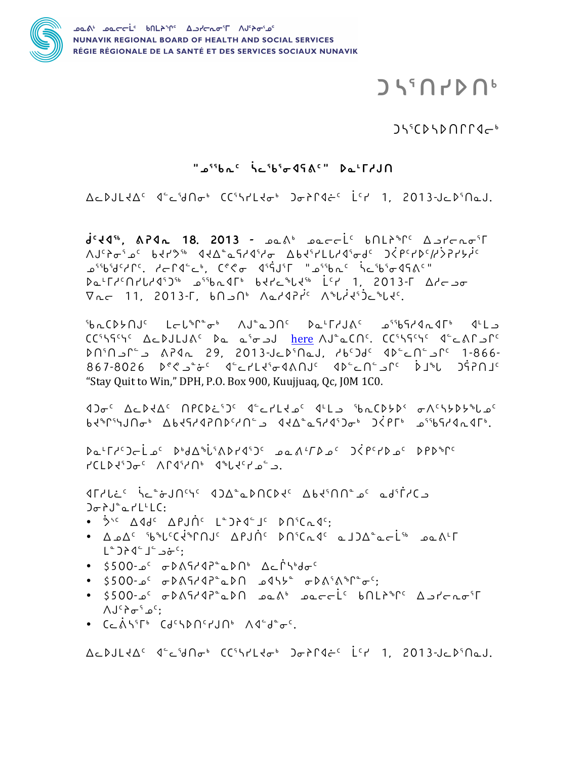

- $\bullet$  CCAST CdcSDNcrJN Adder.
- • 2500-ي<sup>د</sup> FAASTAR عهد محمد العاملية العاملية المحمد العاملية العاملية في العاملية العاملية العاملية ال  $\Lambda$ د  $\sigma$ و  $\sigma$ و  $\Lambda$
- 100°، <del>م</del>4۵۹'۹۶°، ۴۵'۵۹'۵۰ م 100°، **۴۰**
- ALA<sup>C SALCCC THE APJNC DASCAC a JOA" art<sup>sp</sup> dan't</sup>  $1^{\circ}$ d  $(1^{\circ})$ d  $(1^{\circ})$
- . <sup>3,6</sup> Add<sup>e</sup> Apun<sup>e</sup> L<sup>2</sup> J24°J<sup>e</sup> Dnicrae:

 $D\sigma$  $\Gamma$  $D^{\circ}$  $\Delta$  $\Gamma$  $L^{\circ}$  $LC$ :

 $4\Gamma$ دادن فرمون بالدين الملامي المستقام المستقام المستقام المستقام المستقام المستقام المستقام المستقام المستقام المستقام المستقام المستقام المستقام المستقام المستقام المستقام المستقام المستقام المستقام المستقام المستقام ا

 $CLD452\sigma C$   $\Lambda \Gamma 457\Gamma$   $4\sigma$ 

Da'Tr'Jola<sup>c</sup> D'dA''inDrd''Jc an'TDac JEPCTDac DPD&PC

4) σ<sup>ε</sup> ΔεριΔ<sup>ε</sup> ΠΡΟρεί)<sup>ε</sup> ΦετΙΙΙΔ<sup>ε</sup> ΦΙΙΔ βρίΟλιλο σΛειλιλιδιδε ٩٤٨-٩٠٠٠ ما۴۶،۲۹۰۰ مى 445-471- مى 440-485-484 مى بى 1940-5144 مى بى 104-400 كىل بى مىلكى بىل بى بى

<sup>5</sup>bcCD5NJ<sup>c</sup> Lel<sup>s</sup>f°ob AJ°aDN<sup>c</sup> Da<sup>L</sup>EdJAC p<sup>55</sup>b5d4a4Eb dLL CCSSSCSC Acpuluace Da aforal here AltaCAC CCSSSCSC CtcACaCC -1-866 <sup>-</sup> 1-866 - 1013 - 1013 - 1014 - 1014 - 1014 - 1014 - 1014 - 1014 - 1014 - 1014 - 1014 - 1014 11176 1114 112 112 112 114<sup>5</sup>+1112<sup>1</sup> 122 132 134 145 "Stay Quit to Win," DPH, P.O. Box 900, Kuujjuag, Qc, J0M 1C0.

 $d^{c}$ <d<sup>6</sup>, APIn 18, 2013 - pes<sup>6</sup> parric bOLP<sup>spc</sup> Aprirno<sup>s</sup>F ᠘᠑᠄ᡝᡇᡃ᠙ᢉᡃ᠀ᠲ᠆᠈ᡁᢐ᠉᠘ᢣ᠔ᡗᡆ᠂᠕᠕᠅ᢣ᠍ᡆ᠘᠂᠈ᡭ᠙ᢣᠾ᠉ᠻᢉᡰᢣ᠗᠂᠈ᢆᡭᠷ᠙ᢣᠾ᠓ <sup>296</sup>6'1<sup>6</sup>' לכ<sup>2</sup>4'2' (2° 3°), (2° 3°) (2° 4' 4' 4' 5' 4' 4' 6' 4' 4' 6' 6' 6' 6' 6' 6' 6' 6' 6' 0c<sup>L</sup>LY°NYLY41) م<sup>91</sup>6c4L<sup>6</sup> 64YC محاولة 1.2013-F 2012 مح  $\nabla_{\mathbf{n}}$   $\epsilon$  11. 2013- $\Gamma$ ,  $\mathbf{b} \cap \mathbf{c}$   $\Lambda$  $\mathbf{a}$  $\mathbf{d}$  $\mathbf{P}$  $\mathbf{f}^{\mathfrak{c}}$   $\Lambda^{\mathfrak{b}}$  $\mathbf{L}$  $\mathbf{d}$  $\mathbf{f}$  $\mathbf{d}^{\mathfrak{c}}$  $\mathbf{d}$  $\mathbf{e}^{\mathfrak{c}}$ 

 $\Delta c$ 

"Alfod" bioform DalfdJA" "Alfod".

## $J5507D06$

 $7556660000000$